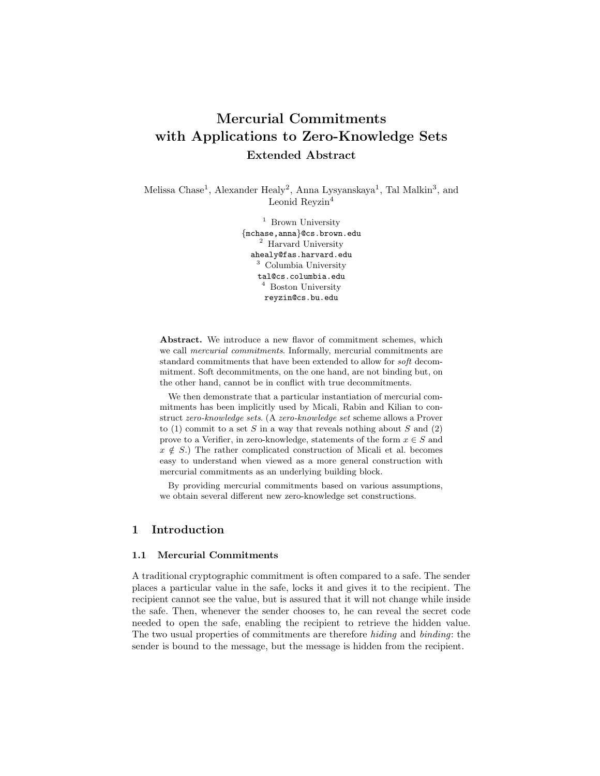# Mercurial Commitments with Applications to Zero-Knowledge Sets Extended Abstract

Melissa Chase<sup>1</sup>, Alexander Healy<sup>2</sup>, Anna Lysyanskaya<sup>1</sup>, Tal Malkin<sup>3</sup>, and Leonid Reyzin<sup>4</sup>

> <sup>1</sup> Brown University {mchase,anna}@cs.brown.edu <sup>2</sup> Harvard University ahealy@fas.harvard.edu <sup>3</sup> Columbia University tal@cs.columbia.edu <sup>4</sup> Boston University reyzin@cs.bu.edu

Abstract. We introduce a new flavor of commitment schemes, which we call mercurial commitments. Informally, mercurial commitments are standard commitments that have been extended to allow for soft decommitment. Soft decommitments, on the one hand, are not binding but, on the other hand, cannot be in conflict with true decommitments.

We then demonstrate that a particular instantiation of mercurial commitments has been implicitly used by Micali, Rabin and Kilian to construct zero-knowledge sets. (A zero-knowledge set scheme allows a Prover to (1) commit to a set S in a way that reveals nothing about S and (2) prove to a Verifier, in zero-knowledge, statements of the form  $x \in S$  and  $x \notin S$ .) The rather complicated construction of Micali et al. becomes easy to understand when viewed as a more general construction with mercurial commitments as an underlying building block.

By providing mercurial commitments based on various assumptions, we obtain several different new zero-knowledge set constructions.

# 1 Introduction

#### 1.1 Mercurial Commitments

A traditional cryptographic commitment is often compared to a safe. The sender places a particular value in the safe, locks it and gives it to the recipient. The recipient cannot see the value, but is assured that it will not change while inside the safe. Then, whenever the sender chooses to, he can reveal the secret code needed to open the safe, enabling the recipient to retrieve the hidden value. The two usual properties of commitments are therefore hiding and binding: the sender is bound to the message, but the message is hidden from the recipient.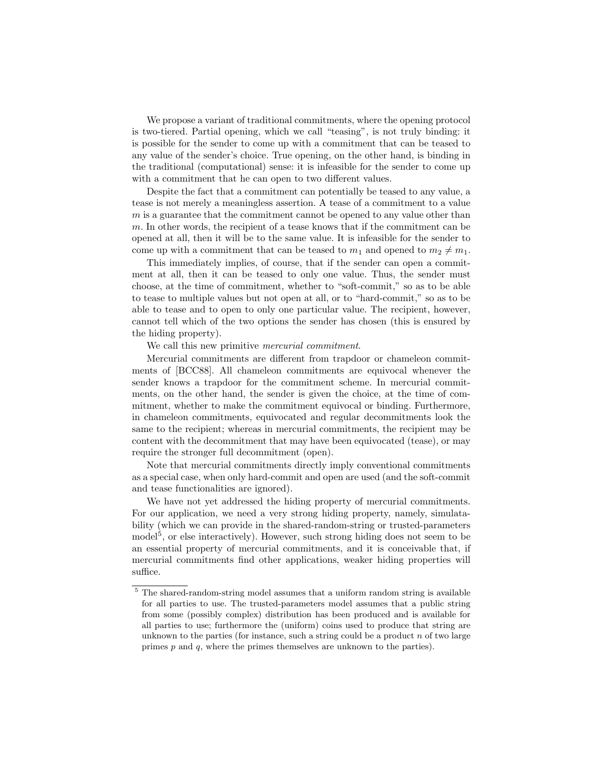We propose a variant of traditional commitments, where the opening protocol is two-tiered. Partial opening, which we call "teasing", is not truly binding: it is possible for the sender to come up with a commitment that can be teased to any value of the sender's choice. True opening, on the other hand, is binding in the traditional (computational) sense: it is infeasible for the sender to come up with a commitment that he can open to two different values.

Despite the fact that a commitment can potentially be teased to any value, a tease is not merely a meaningless assertion. A tease of a commitment to a value  $m$  is a guarantee that the commitment cannot be opened to any value other than m. In other words, the recipient of a tease knows that if the commitment can be opened at all, then it will be to the same value. It is infeasible for the sender to come up with a commitment that can be teased to  $m_1$  and opened to  $m_2 \neq m_1$ .

This immediately implies, of course, that if the sender can open a commitment at all, then it can be teased to only one value. Thus, the sender must choose, at the time of commitment, whether to "soft-commit," so as to be able to tease to multiple values but not open at all, or to "hard-commit," so as to be able to tease and to open to only one particular value. The recipient, however, cannot tell which of the two options the sender has chosen (this is ensured by the hiding property).

We call this new primitive *mercurial commitment*.

Mercurial commitments are different from trapdoor or chameleon commitments of [BCC88]. All chameleon commitments are equivocal whenever the sender knows a trapdoor for the commitment scheme. In mercurial commitments, on the other hand, the sender is given the choice, at the time of commitment, whether to make the commitment equivocal or binding. Furthermore, in chameleon commitments, equivocated and regular decommitments look the same to the recipient; whereas in mercurial commitments, the recipient may be content with the decommitment that may have been equivocated (tease), or may require the stronger full decommitment (open).

Note that mercurial commitments directly imply conventional commitments as a special case, when only hard-commit and open are used (and the soft-commit and tease functionalities are ignored).

We have not yet addressed the hiding property of mercurial commitments. For our application, we need a very strong hiding property, namely, simulatability (which we can provide in the shared-random-string or trusted-parameters model<sup>5</sup>, or else interactively). However, such strong hiding does not seem to be an essential property of mercurial commitments, and it is conceivable that, if mercurial commitments find other applications, weaker hiding properties will suffice.

<sup>&</sup>lt;sup>5</sup> The shared-random-string model assumes that a uniform random string is available for all parties to use. The trusted-parameters model assumes that a public string from some (possibly complex) distribution has been produced and is available for all parties to use; furthermore the (uniform) coins used to produce that string are unknown to the parties (for instance, such a string could be a product  $n$  of two large primes  $p$  and  $q$ , where the primes themselves are unknown to the parties).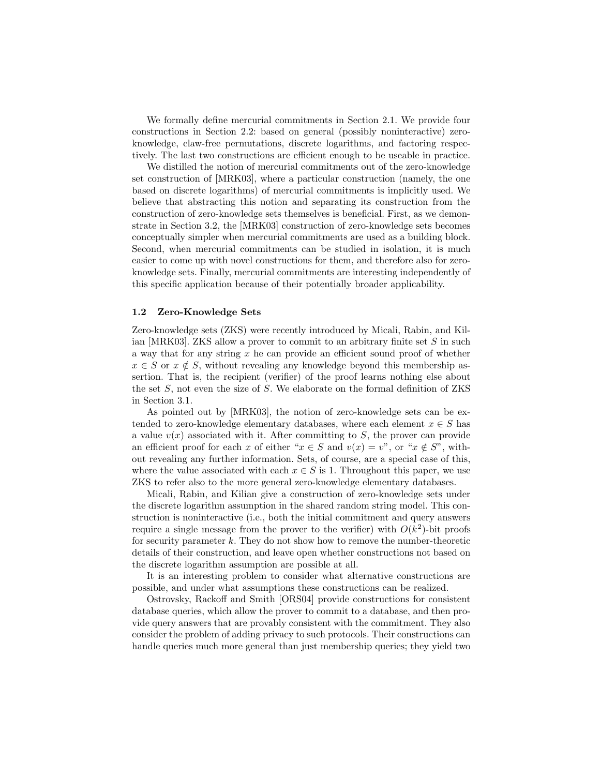We formally define mercurial commitments in Section 2.1. We provide four constructions in Section 2.2: based on general (possibly noninteractive) zeroknowledge, claw-free permutations, discrete logarithms, and factoring respectively. The last two constructions are efficient enough to be useable in practice.

We distilled the notion of mercurial commitments out of the zero-knowledge set construction of [MRK03], where a particular construction (namely, the one based on discrete logarithms) of mercurial commitments is implicitly used. We believe that abstracting this notion and separating its construction from the construction of zero-knowledge sets themselves is beneficial. First, as we demonstrate in Section 3.2, the [MRK03] construction of zero-knowledge sets becomes conceptually simpler when mercurial commitments are used as a building block. Second, when mercurial commitments can be studied in isolation, it is much easier to come up with novel constructions for them, and therefore also for zeroknowledge sets. Finally, mercurial commitments are interesting independently of this specific application because of their potentially broader applicability.

### 1.2 Zero-Knowledge Sets

Zero-knowledge sets (ZKS) were recently introduced by Micali, Rabin, and Kilian [MRK03]. ZKS allow a prover to commit to an arbitrary finite set  $S$  in such a way that for any string  $x$  he can provide an efficient sound proof of whether  $x \in S$  or  $x \notin S$ , without revealing any knowledge beyond this membership assertion. That is, the recipient (verifier) of the proof learns nothing else about the set S, not even the size of S. We elaborate on the formal definition of ZKS in Section 3.1.

As pointed out by [MRK03], the notion of zero-knowledge sets can be extended to zero-knowledge elementary databases, where each element  $x \in S$  has a value  $v(x)$  associated with it. After committing to S, the prover can provide an efficient proof for each x of either " $x \in S$  and  $v(x) = v$ ", or " $x \notin S$ ", without revealing any further information. Sets, of course, are a special case of this, where the value associated with each  $x \in S$  is 1. Throughout this paper, we use ZKS to refer also to the more general zero-knowledge elementary databases.

Micali, Rabin, and Kilian give a construction of zero-knowledge sets under the discrete logarithm assumption in the shared random string model. This construction is noninteractive (i.e., both the initial commitment and query answers require a single message from the prover to the verifier) with  $O(k^2)$ -bit proofs for security parameter k. They do not show how to remove the number-theoretic details of their construction, and leave open whether constructions not based on the discrete logarithm assumption are possible at all.

It is an interesting problem to consider what alternative constructions are possible, and under what assumptions these constructions can be realized.

Ostrovsky, Rackoff and Smith [ORS04] provide constructions for consistent database queries, which allow the prover to commit to a database, and then provide query answers that are provably consistent with the commitment. They also consider the problem of adding privacy to such protocols. Their constructions can handle queries much more general than just membership queries; they yield two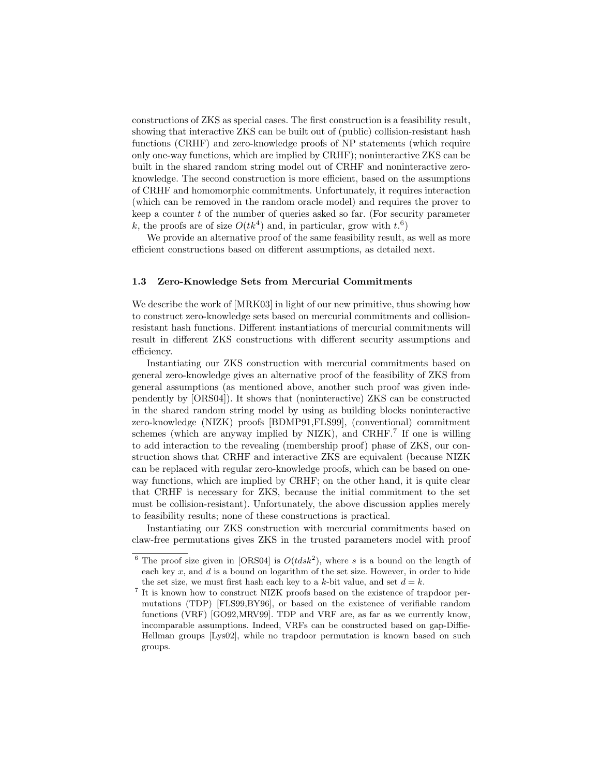constructions of ZKS as special cases. The first construction is a feasibility result, showing that interactive ZKS can be built out of (public) collision-resistant hash functions (CRHF) and zero-knowledge proofs of NP statements (which require only one-way functions, which are implied by CRHF); noninteractive ZKS can be built in the shared random string model out of CRHF and noninteractive zeroknowledge. The second construction is more efficient, based on the assumptions of CRHF and homomorphic commitments. Unfortunately, it requires interaction (which can be removed in the random oracle model) and requires the prover to keep a counter  $t$  of the number of queries asked so far. (For security parameter k, the proofs are of size  $O(tk^4)$  and, in particular, grow with  $t^6$ )

We provide an alternative proof of the same feasibility result, as well as more efficient constructions based on different assumptions, as detailed next.

#### 1.3 Zero-Knowledge Sets from Mercurial Commitments

We describe the work of [MRK03] in light of our new primitive, thus showing how to construct zero-knowledge sets based on mercurial commitments and collisionresistant hash functions. Different instantiations of mercurial commitments will result in different ZKS constructions with different security assumptions and efficiency.

Instantiating our ZKS construction with mercurial commitments based on general zero-knowledge gives an alternative proof of the feasibility of ZKS from general assumptions (as mentioned above, another such proof was given independently by [ORS04]). It shows that (noninteractive) ZKS can be constructed in the shared random string model by using as building blocks noninteractive zero-knowledge (NIZK) proofs [BDMP91,FLS99], (conventional) commitment schemes (which are anyway implied by NIZK), and CRHF.<sup>7</sup> If one is willing to add interaction to the revealing (membership proof) phase of ZKS, our construction shows that CRHF and interactive ZKS are equivalent (because NIZK can be replaced with regular zero-knowledge proofs, which can be based on oneway functions, which are implied by CRHF; on the other hand, it is quite clear that CRHF is necessary for ZKS, because the initial commitment to the set must be collision-resistant). Unfortunately, the above discussion applies merely to feasibility results; none of these constructions is practical.

Instantiating our ZKS construction with mercurial commitments based on claw-free permutations gives ZKS in the trusted parameters model with proof

<sup>&</sup>lt;sup>6</sup> The proof size given in [ORS04] is  $O(tdsk^2)$ , where s is a bound on the length of each key  $x$ , and  $d$  is a bound on logarithm of the set size. However, in order to hide the set size, we must first hash each key to a k-bit value, and set  $d = k$ .

<sup>&</sup>lt;sup>7</sup> It is known how to construct NIZK proofs based on the existence of trapdoor permutations (TDP) [FLS99,BY96], or based on the existence of verifiable random functions (VRF) [GO92,MRV99]. TDP and VRF are, as far as we currently know, incomparable assumptions. Indeed, VRFs can be constructed based on gap-Diffie-Hellman groups [Lys02], while no trapdoor permutation is known based on such groups.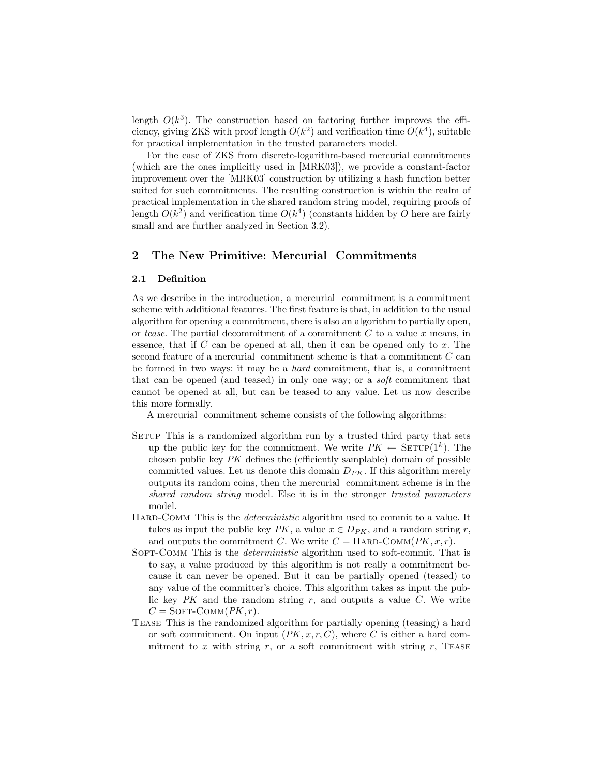length  $O(k^3)$ . The construction based on factoring further improves the efficiency, giving ZKS with proof length  $O(k^2)$  and verification time  $O(k^4)$ , suitable for practical implementation in the trusted parameters model.

For the case of ZKS from discrete-logarithm-based mercurial commitments (which are the ones implicitly used in [MRK03]), we provide a constant-factor improvement over the [MRK03] construction by utilizing a hash function better suited for such commitments. The resulting construction is within the realm of practical implementation in the shared random string model, requiring proofs of length  $O(k^2)$  and verification time  $O(k^4)$  (constants hidden by O here are fairly small and are further analyzed in Section 3.2).

# 2 The New Primitive: Mercurial Commitments

#### 2.1 Definition

As we describe in the introduction, a mercurial commitment is a commitment scheme with additional features. The first feature is that, in addition to the usual algorithm for opening a commitment, there is also an algorithm to partially open, or tease. The partial decommitment of a commitment  $C$  to a value  $x$  means, in essence, that if  $C$  can be opened at all, then it can be opened only to  $x$ . The second feature of a mercurial commitment scheme is that a commitment C can be formed in two ways: it may be a hard commitment, that is, a commitment that can be opened (and teased) in only one way; or a soft commitment that cannot be opened at all, but can be teased to any value. Let us now describe this more formally.

A mercurial commitment scheme consists of the following algorithms:

- SETUP This is a randomized algorithm run by a trusted third party that sets up the public key for the commitment. We write  $PK \leftarrow \text{SETUP}(1^k)$ . The chosen public key PK defines the (efficiently samplable) domain of possible committed values. Let us denote this domain  $D_{PK}$ . If this algorithm merely outputs its random coins, then the mercurial commitment scheme is in the shared random string model. Else it is in the stronger trusted parameters model.
- HARD-COMM This is the *deterministic* algorithm used to commit to a value. It takes as input the public key PK, a value  $x \in D_{PK}$ , and a random string r, and outputs the commitment C. We write  $C = \text{HARD-COMM}(PK, x, r)$ .
- SOFT-COMM This is the *deterministic* algorithm used to soft-commit. That is to say, a value produced by this algorithm is not really a commitment because it can never be opened. But it can be partially opened (teased) to any value of the committer's choice. This algorithm takes as input the public key  $PK$  and the random string r, and outputs a value C. We write  $C = \text{SOFT-COMM}(PK, r).$
- Tease This is the randomized algorithm for partially opening (teasing) a hard or soft commitment. On input  $(PK, x, r, C)$ , where C is either a hard commitment to x with string r, or a soft commitment with string r, TEASE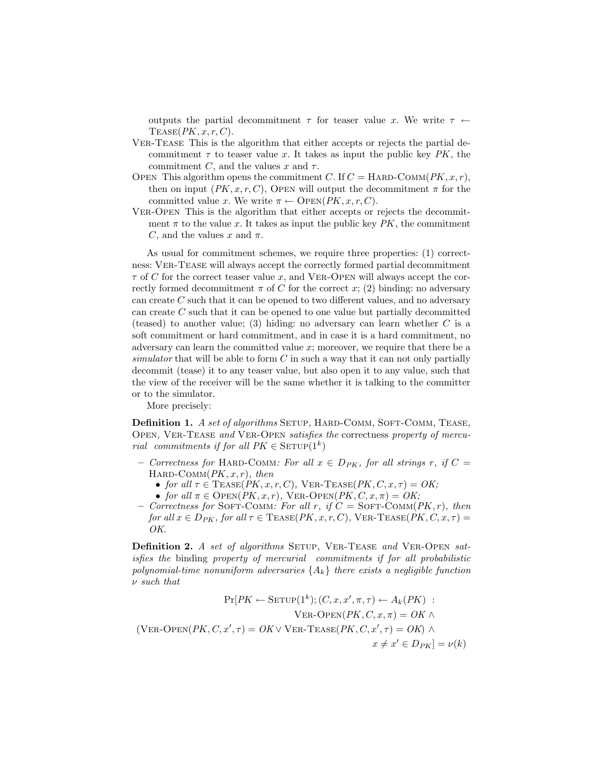outputs the partial decommitment  $\tau$  for teaser value x. We write  $\tau \leftarrow$  $TESSE(PK, x, r, C).$ 

- Ver-Tease This is the algorithm that either accepts or rejects the partial decommitment  $\tau$  to teaser value x. It takes as input the public key PK, the commitment C, and the values x and  $\tau$ .
- OPEN This algorithm opens the commitment C. If  $C = HARD-COMM(PK, x, r)$ , then on input  $(PK, x, r, C)$ , OPEN will output the decommitment  $\pi$  for the committed value x. We write  $\pi \leftarrow \text{OPEN}(PK, x, r, C)$ .
- Ver-Open This is the algorithm that either accepts or rejects the decommitment  $\pi$  to the value x. It takes as input the public key PK, the commitment C, and the values x and  $\pi$ .

As usual for commitment schemes, we require three properties: (1) correctness: Ver-Tease will always accept the correctly formed partial decommitment  $\tau$  of C for the correct teaser value x, and VER-OPEN will always accept the correctly formed decommitment  $\pi$  of C for the correct x; (2) binding: no adversary can create  $C$  such that it can be opened to two different values, and no adversary can create  $C$  such that it can be opened to one value but partially decommitted (teased) to another value; (3) hiding: no adversary can learn whether  $C$  is a soft commitment or hard commitment, and in case it is a hard commitment, no adversary can learn the committed value x; moreover, we require that there be a simulator that will be able to form  $C$  in such a way that it can not only partially decommit (tease) it to any teaser value, but also open it to any value, such that the view of the receiver will be the same whether it is talking to the committer or to the simulator.

More precisely:

Definition 1. A set of algorithms SETUP, HARD-COMM, SOFT-COMM, TEASE, Open, Ver-Tease and Ver-Open satisfies the correctness property of mercurial commitments if for all  $PK \in \text{SETUP}(1^k)$ 

– Correctness for HARD-COMM: For all  $x \in D_{PK}$ , for all strings r, if  $C =$ HARD-COMM $(PK, x, r)$ , then

• for all  $\tau \in \text{TEASE}(PK, x, r, C)$ ,  $\text{VER-TEASE}(PK, C, x, \tau) = OK;$ 

- for all  $\pi \in \text{OPEN}(PK, x, r)$ , VER-OPEN $(PK, C, x, \pi) = OK$ ;
- Correctness for SOFT-COMM: For all r, if  $C = \text{SOFF-COMM}(PK, r)$ , then for all  $x \in D_{PK}$ , for all  $\tau \in \text{TEASE}(PK, x, r, C)$ , VER-TEASE(PK, C, x,  $\tau$ ) = OK.

Definition 2. A set of algorithms SETUP, VER-TEASE and VER-OPEN satisfies the binding property of mercurial commitments if for all probabilistic polynomial-time nonuniform adversaries  $\{A_k\}$  there exists a negligible function ν such that

$$
\Pr[PK \leftarrow \text{SETUP}(1^k); (C, x, x', \pi, \tau) \leftarrow A_k(PK) :
$$
  
VER-OPEN( $PK, C, x, \pi$ ) = OK  $\land$   
(VER-OPEN( $PK, C, x', \tau$ ) = OK  $\lor$  VER-TEASE( $PK, C, x', \tau$ ) = OK)  $\land$   
 $x \neq x' \in D_{PK}$ ] =  $\nu(k)$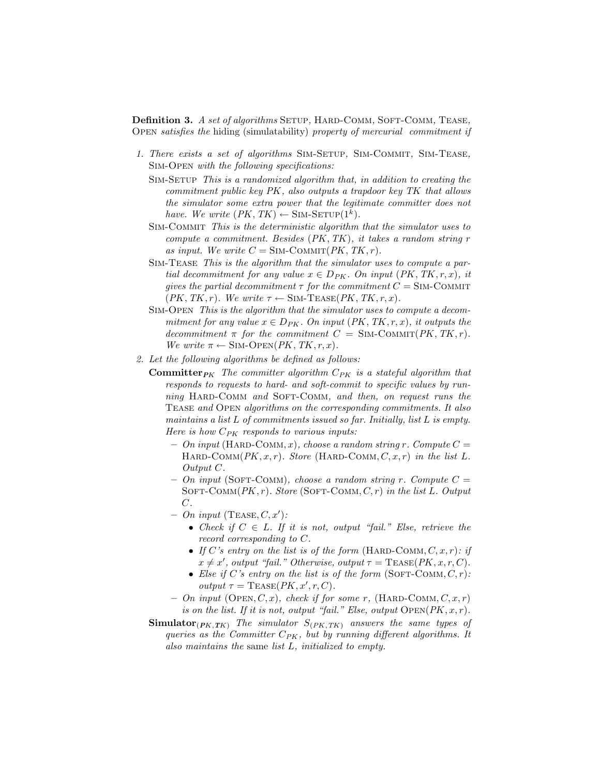Definition 3. A set of algorithms SETUP, HARD-COMM, SOFT-COMM, TEASE, Open satisfies the hiding (simulatability) property of mercurial commitment if

- 1. There exists a set of algorithms Sim-Setup, Sim-Commit, Sim-Tease, Sim-Open with the following specifications:
	- Sim-Setup This is a randomized algorithm that, in addition to creating the commitment public key PK, also outputs a trapdoor key TK that allows the simulator some extra power that the legitimate committer does not have. We write  $(PK, TK) \leftarrow \text{SIM-SETUP}(1^k)$ .
	- Sim-Commit This is the deterministic algorithm that the simulator uses to compute a commitment. Besides (PK, TK), it takes a random string r as input. We write  $C = \text{SIM-COMMIT}(PK, TK, r)$ .
	- Sim-Tease This is the algorithm that the simulator uses to compute a partial decommitment for any value  $x \in D_{PK}$ . On input  $(PK, TK, r, x)$ , it gives the partial decommitment  $\tau$  for the commitment  $C = \text{Sim-COMMIT}$  $(PK, TK, r)$ . We write  $\tau \leftarrow \text{SIM-TEASE}(PK, TK, r, x)$ .
	- Sim-Open This is the algorithm that the simulator uses to compute a decommitment for any value  $x \in D_{PK}$ . On input (PK, TK, r, x), it outputs the decommitment  $\pi$  for the commitment  $C = \text{SIM-COMMIT}(PK, TK, r)$ . We write  $\pi \leftarrow \text{SIM-OPEN}(PK, TK, r, x)$ .
- 2. Let the following algorithms be defined as follows:
	- **Committer**<sub>PK</sub> The committer algorithm  $C_{PK}$  is a stateful algorithm that responds to requests to hard- and soft-commit to specific values by running HARD-COMM and SOFT-COMM, and then, on request runs the Tease and Open algorithms on the corresponding commitments. It also maintains a list L of commitments issued so far. Initially, list L is empty. Here is how  $C_{PK}$  responds to various inputs:
		- On input (HARD-COMM, x), choose a random string r. Compute  $C =$ HARD-COMM $(PK, x, r)$ . Store (HARD-COMM,  $C, x, r$ ) in the list L. Output C.
		- On input (SOFT-COMM), choose a random string r. Compute  $C =$ SOFT-COMM( $PK, r$ ). Store (SOFT-COMM,  $C, r$ ) in the list L. Output  $C$ .
		- $-$  On input (TEASE,  $C, x'$ ):
			- Check if  $C \in L$ . If it is not, output "fail." Else, retrieve the record corresponding to C.
			- If C's entry on the list is of the form (HARD-COMM,  $C, x, r$ ): if  $x \neq x'$ , output "fail." Otherwise, output  $\tau = \text{TEASE}(PK, x, r, C)$ .
			- Else if C's entry on the list is of the form  $(Sorr-Comm, C, r)$ :  $output \tau = \text{TEASE}(PK, x', r, C).$
		- On input (OPEN,  $C, x$ ), check if for some r, (HARD-COMM,  $C, x, r$ ) is on the list. If it is not, output "fail." Else, output  $\text{OPEN}(PK, x, r)$ .
	- **Simulator**<sub>(PK,TK)</sub> The simulator  $S_{(PK,TK)}$  answers the same types of queries as the Committer  $C_{PK}$ , but by running different algorithms. It also maintains the same list L, initialized to empty.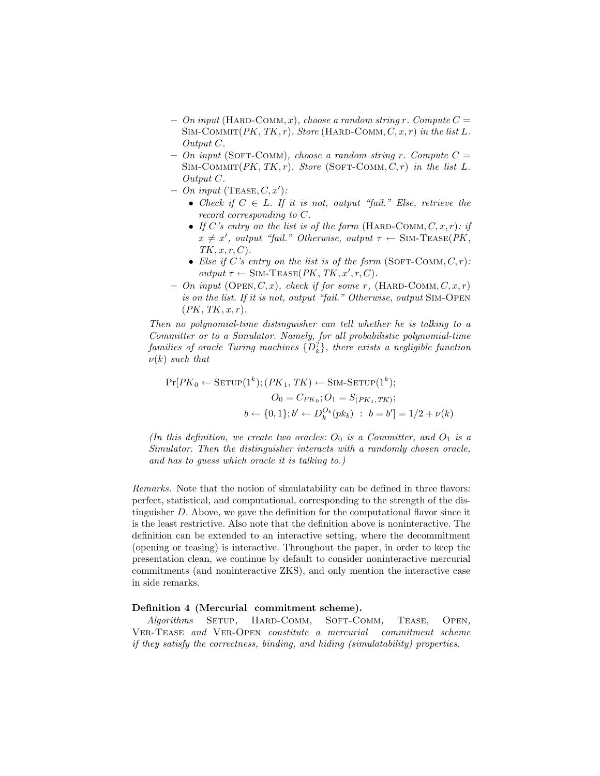- On input (HARD-COMM, x), choose a random string r. Compute  $C =$  $Sim-COMMIT(PK, TK, r)$ . Store (HARD-COMM,  $C, x, r$ ) in the list L. Output C.
- On input (SOFT-COMM), choose a random string r. Compute  $C =$ SIM-COMMIT $(PK, TK, r)$ . Store (SOFT-COMM,  $C, r$ ) in the list L. Output C.
- $-$  On input (TEASE,  $C, x'$ ):
	- Check if  $C \in L$ . If it is not, output "fail." Else, retrieve the record corresponding to C.
	- If C's entry on the list is of the form (HARD-COMM,  $C, x, r$ ): if  $x \neq x'$ , output "fail." Otherwise, output  $\tau \leftarrow$  SIM-TEASE(PK,  $TK, x, r, C$ .
	- Else if C's entry on the list is of the form  $(Sorr-COMM, C, r)$ : output  $\tau \leftarrow \text{SIM-TEASE}(PK, TK, x', r, C)$ .
- On input (OPEN,  $C, x$ ), check if for some r, (HARD-COMM,  $C, x, r$ ) is on the list. If it is not, output "fail." Otherwise, output SIM-OPEN  $(PK, TK, x, r)$ .

Then no polynomial-time distinguisher can tell whether he is talking to a Committer or to a Simulator. Namely, for all probabilistic polynomial-time  $\mathit{families\ of\ oracle\ Turing\ machines\ }\{D_k^? \},\ there\ exists\ a\ negligible\ function$  $\nu(k)$  such that

$$
Pr[PK_0 \leftarrow SETUP(1^k); (PK_1, TK) \leftarrow SIM-SETUP(1^k);
$$
  
\n
$$
O_0 = C_{PK_0}; O_1 = S_{(PK_1, TK)};
$$
  
\n
$$
b \leftarrow \{0, 1\}; b' \leftarrow D_k^{O_b}(pk_b) : b = b'] = 1/2 + \nu(k)
$$

(In this definition, we create two oracles:  $O_0$  is a Committer, and  $O_1$  is a Simulator. Then the distinguisher interacts with a randomly chosen oracle, and has to guess which oracle it is talking to.)

Remarks. Note that the notion of simulatability can be defined in three flavors: perfect, statistical, and computational, corresponding to the strength of the distinguisher D. Above, we gave the definition for the computational flavor since it is the least restrictive. Also note that the definition above is noninteractive. The definition can be extended to an interactive setting, where the decommitment (opening or teasing) is interactive. Throughout the paper, in order to keep the presentation clean, we continue by default to consider noninteractive mercurial commitments (and noninteractive ZKS), and only mention the interactive case in side remarks.

## Definition 4 (Mercurial commitment scheme).

Algorithms SETUP, HARD-COMM, SOFT-COMM, TEASE, OPEN, Ver-Tease and Ver-Open constitute a mercurial commitment scheme if they satisfy the correctness, binding, and hiding (simulatability) properties.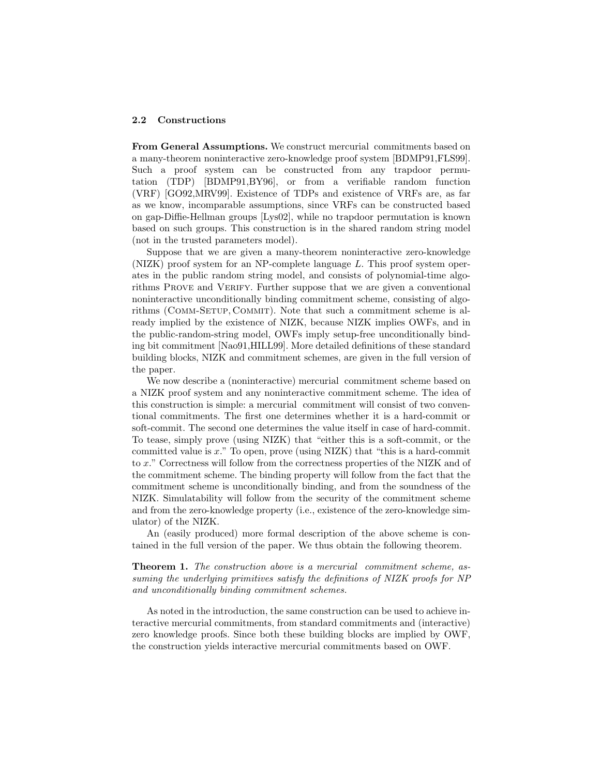#### 2.2 Constructions

From General Assumptions. We construct mercurial commitments based on a many-theorem noninteractive zero-knowledge proof system [BDMP91,FLS99]. Such a proof system can be constructed from any trapdoor permutation (TDP) [BDMP91,BY96], or from a verifiable random function (VRF) [GO92,MRV99]. Existence of TDPs and existence of VRFs are, as far as we know, incomparable assumptions, since VRFs can be constructed based on gap-Diffie-Hellman groups [Lys02], while no trapdoor permutation is known based on such groups. This construction is in the shared random string model (not in the trusted parameters model).

Suppose that we are given a many-theorem noninteractive zero-knowledge (NIZK) proof system for an NP-complete language L. This proof system operates in the public random string model, and consists of polynomial-time algorithms Prove and Verify. Further suppose that we are given a conventional noninteractive unconditionally binding commitment scheme, consisting of algorithms (Comm-Setup, Commit). Note that such a commitment scheme is already implied by the existence of NIZK, because NIZK implies OWFs, and in the public-random-string model, OWFs imply setup-free unconditionally binding bit commitment [Nao91,HILL99]. More detailed definitions of these standard building blocks, NIZK and commitment schemes, are given in the full version of the paper.

We now describe a (noninteractive) mercurial commitment scheme based on a NIZK proof system and any noninteractive commitment scheme. The idea of this construction is simple: a mercurial commitment will consist of two conventional commitments. The first one determines whether it is a hard-commit or soft-commit. The second one determines the value itself in case of hard-commit. To tease, simply prove (using NIZK) that "either this is a soft-commit, or the committed value is x." To open, prove (using NIZK) that "this is a hard-commit to x." Correctness will follow from the correctness properties of the NIZK and of the commitment scheme. The binding property will follow from the fact that the commitment scheme is unconditionally binding, and from the soundness of the NIZK. Simulatability will follow from the security of the commitment scheme and from the zero-knowledge property (i.e., existence of the zero-knowledge simulator) of the NIZK.

An (easily produced) more formal description of the above scheme is contained in the full version of the paper. We thus obtain the following theorem.

Theorem 1. The construction above is a mercurial commitment scheme, assuming the underlying primitives satisfy the definitions of NIZK proofs for NP and unconditionally binding commitment schemes.

As noted in the introduction, the same construction can be used to achieve interactive mercurial commitments, from standard commitments and (interactive) zero knowledge proofs. Since both these building blocks are implied by OWF, the construction yields interactive mercurial commitments based on OWF.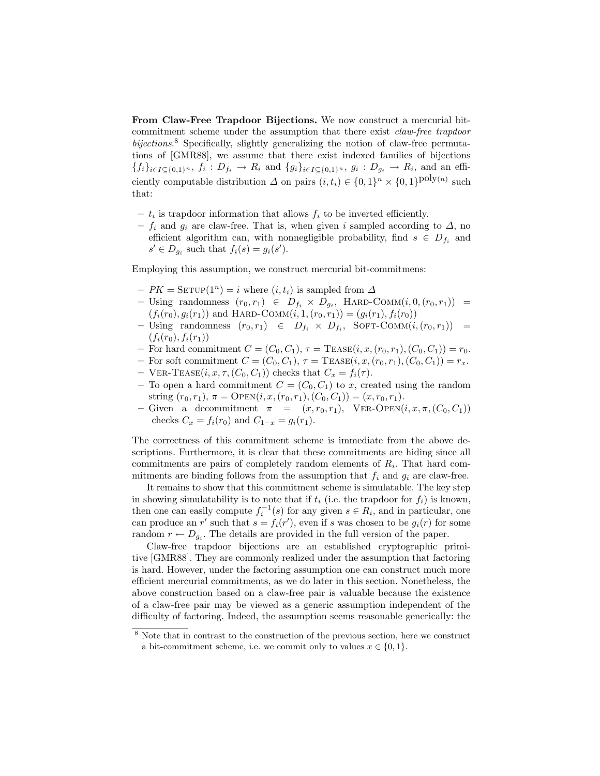From Claw-Free Trapdoor Bijections. We now construct a mercurial bitcommitment scheme under the assumption that there exist claw-free trapdoor bijections.<sup>8</sup> Specifically, slightly generalizing the notion of claw-free permutations of [GMR88], we assume that there exist indexed families of bijections  ${f_i}_{i\in I \subseteq \{0,1\}^n}$ ,  $f_i: D_{f_i} \to R_i$  and  ${g_i}_{i\in I \subseteq \{0,1\}^n}$ ,  $g_i: D_{g_i} \to R_i$ , and an efficiently computable distribution  $\Delta$  on pairs  $(i, t_i) \in \{0, 1\}^n \times \{0, 1\}^{\text{poly}(n)}$  such that:

- $t_i$  is trapdoor information that allows  $f_i$  to be inverted efficiently.
- $f_i$  and  $g_i$  are claw-free. That is, when given i sampled according to  $\Delta$ , no efficient algorithm can, with nonnegligible probability, find  $s \in D_{f_i}$  and  $s' \in D_{g_i}$  such that  $f_i(s) = g_i(s')$ .

Employing this assumption, we construct mercurial bit-commitmens:

- $PK = \text{SETUP}(1^n) = i$  where  $(i, t_i)$  is sampled from  $\Delta$
- Using randomness  $(r_0, r_1) \in D_{f_i} \times D_{g_i}$ , HARD-COMM $(i, 0, (r_0, r_1))$  =  $(f_i(r_0), g_i(r_1))$  and HARD-COMM $(i, 1, (r_0, r_1)) = (g_i(r_1), f_i(r_0))$
- $-$  Using randomness  $(r_0, r_1) \in D_{f_i} \times D_{f_i}$ , SOFT-COMM $(i, (r_0, r_1)) =$  $(f_i(r_0), f_i(r_1))$
- For hard commitment  $C = (C_0, C_1), \tau = \text{TEASE}(i, x, (r_0, r_1), (C_0, C_1)) = r_0.$
- For soft commitment  $C = (C_0, C_1), \tau = \text{TEASE}(i, x, (r_0, r_1), (C_0, C_1)) = r_x$ .
- VER-TEASE $(i, x, \tau, (C_0, C_1))$  checks that  $C_x = f_i(\tau)$ .
- To open a hard commitment  $C = (C_0, C_1)$  to x, created using the random string  $(r_0, r_1)$ ,  $\pi = \text{OPEN}(i, x, (r_0, r_1), (C_0, C_1)) = (x, r_0, r_1).$
- Given a decommitment  $\pi = (x, r_0, r_1), \text{VER-OPEN}(i, x, \pi, (C_0, C_1))$ checks  $C_x = f_i(r_0)$  and  $C_{1-x} = g_i(r_1)$ .

The correctness of this commitment scheme is immediate from the above descriptions. Furthermore, it is clear that these commitments are hiding since all commitments are pairs of completely random elements of  $R_i$ . That hard commitments are binding follows from the assumption that  $f_i$  and  $g_i$  are claw-free.

It remains to show that this commitment scheme is simulatable. The key step in showing simulatability is to note that if  $t_i$  (i.e. the trapdoor for  $f_i$ ) is known, then one can easily compute  $f_i^{-1}(s)$  for any given  $s \in R_i$ , and in particular, one can produce an r' such that  $s = f_i(r')$ , even if s was chosen to be  $g_i(r)$  for some random  $r \leftarrow D_{g_i}$ . The details are provided in the full version of the paper.

Claw-free trapdoor bijections are an established cryptographic primitive [GMR88]. They are commonly realized under the assumption that factoring is hard. However, under the factoring assumption one can construct much more efficient mercurial commitments, as we do later in this section. Nonetheless, the above construction based on a claw-free pair is valuable because the existence of a claw-free pair may be viewed as a generic assumption independent of the difficulty of factoring. Indeed, the assumption seems reasonable generically: the

<sup>8</sup> Note that in contrast to the construction of the previous section, here we construct a bit-commitment scheme, i.e. we commit only to values  $x \in \{0, 1\}.$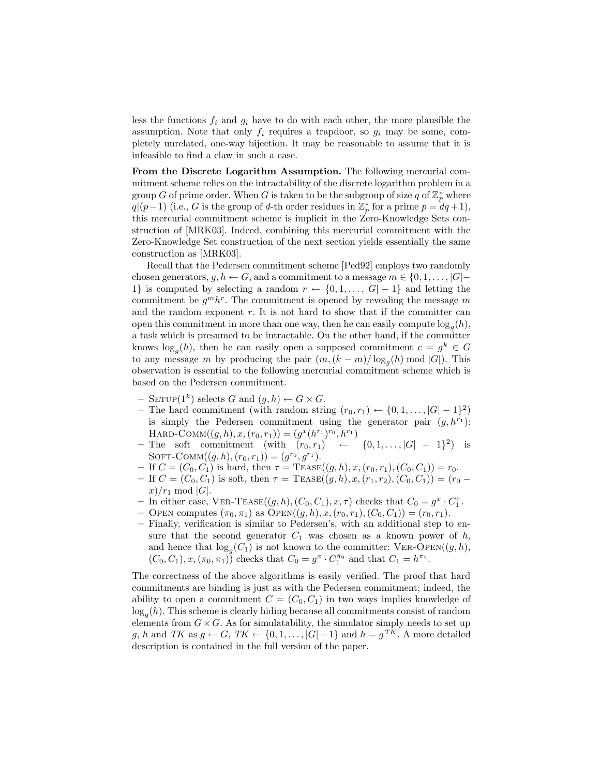less the functions  $f_i$  and  $g_i$  have to do with each other, the more plausible the assumption. Note that only  $f_i$  requires a trapdoor, so  $g_i$  may be some, completely unrelated, one-way bijection. It may be reasonable to assume that it is infeasible to find a claw in such a case.

From the Discrete Logarithm Assumption. The following mercurial commitment scheme relies on the intractability of the discrete logarithm problem in a group G of prime order. When G is taken to be the subgroup of size  $q$  of  $\mathbb{Z}_p^*$  where  $q|(p-1)$  (i.e., G is the group of d-th order residues in  $\mathbb{Z}_p^*$  for a prime  $p = dq + 1$ ), this mercurial commitment scheme is implicit in the Zero-Knowledge Sets construction of [MRK03]. Indeed, combining this mercurial commitment with the Zero-Knowledge Set construction of the next section yields essentially the same construction as [MRK03].

Recall that the Pedersen commitment scheme [Ped92] employs two randomly chosen generators,  $g, h \leftarrow G$ , and a commitment to a message  $m \in \{0, 1, \ldots, |G| -$ 1} is computed by selecting a random  $r \leftarrow \{0, 1, \ldots, |G|-1\}$  and letting the commitment be  $g^m h^r$ . The commitment is opened by revealing the message m and the random exponent  $r$ . It is not hard to show that if the committer can open this commitment in more than one way, then he can easily compute  $\log_g(h)$ , a task which is presumed to be intractable. On the other hand, if the committer knows  $\log_g(h)$ , then he can easily open a supposed commitment  $c = g^k \in G$ to any message m by producing the pair  $(m,(k-m)/\log_{g}(h) \mod |G|)$ . This observation is essential to the following mercurial commitment scheme which is based on the Pedersen commitment.

- SETUP( $1^k$ ) selects G and  $(g, h) \leftarrow G \times G$ .
- The hard commitment (with random string  $(r_0, r_1) \leftarrow \{0, 1, \ldots, |G|-1\}^2$ ) is simply the Pedersen commitment using the generator pair  $(g, h^{r_1})$ : HARD-COMM $((g, h), x, (r_0, r_1)) = (g^x(h^{r_1})^{r_0}, h^{r_1})$
- The soft commitment (with  $(r_0, r_1)$  ←  $\{0, 1, ..., |G| 1\}^2$ ) is SOFT-COMM $((g, h), (r_0, r_1)) = (g^{r_0}, g^{r_1}).$
- If  $C = (C_0, C_1)$  is hard, then  $\tau = \text{TEASE}((g, h), x, (r_0, r_1), (C_0, C_1)) = r_0$ .
- If  $C = (C_0, C_1)$  is soft, then  $\tau = \text{TEASE}((g, h), x, (r_1, r_2), (C_0, C_1)) = (r_0$  $x)/r_1 \mod |G|.$
- In either case, VER-TEASE $((g, h), (C_0, C_1), x, \tau)$  checks that  $C_0 = g^x \cdot C_1^{\tau}$ .
- OPEN computes  $(\pi_0, \pi_1)$  as  $\text{OPEN}((g, h), x, (r_0, r_1), (C_0, C_1)) = (r_0, r_1).$
- Finally, verification is similar to Pedersen's, with an additional step to ensure that the second generator  $C_1$  was chosen as a known power of  $h$ , and hence that  $\log_g(C_1)$  is not known to the committer:  $VER-OPEN((g,h),$  $(C_0, C_1), x, (\pi_0, \pi_1)$  checks that  $C_0 = g^x \cdot C_1^{\pi_0}$  and that  $C_1 = h^{\pi_1}$ .

The correctness of the above algorithms is easily verified. The proof that hard commitments are binding is just as with the Pedersen commitment; indeed, the ability to open a commitment  $C = (C_0, C_1)$  in two ways implies knowledge of  $\log_g(h)$ . This scheme is clearly hiding because all commitments consist of random elements from  $G \times G$ . As for simulatability, the simulator simply needs to set up g, h and TK as  $g \leftarrow G$ , TK  $\leftarrow \{0, 1, \ldots, |G|-1\}$  and  $h = g^{T\tilde{K}}$ . A more detailed description is contained in the full version of the paper.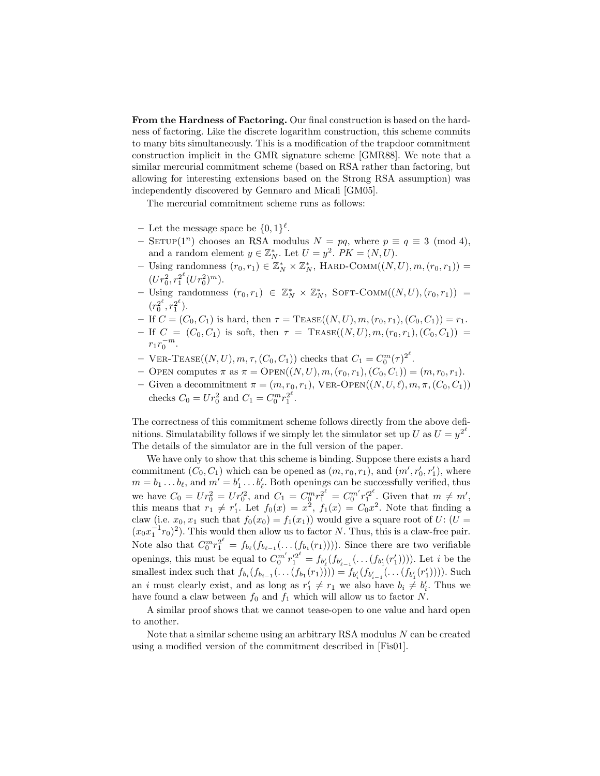From the Hardness of Factoring. Our final construction is based on the hardness of factoring. Like the discrete logarithm construction, this scheme commits to many bits simultaneously. This is a modification of the trapdoor commitment construction implicit in the GMR signature scheme [GMR88]. We note that a similar mercurial commitment scheme (based on RSA rather than factoring, but allowing for interesting extensions based on the Strong RSA assumption) was independently discovered by Gennaro and Micali [GM05].

The mercurial commitment scheme runs as follows:

- Let the message space be  $\{0,1\}^{\ell}$ .
- SETUP(1<sup>n</sup>) chooses an RSA modulus  $N = pq$ , where  $p \equiv q \equiv 3 \pmod{4}$ , and a random element  $y \in \mathbb{Z}_N^*$ . Let  $U = y^2$ .  $PK = (N, U)$ .
- Using randomness  $(r_0, r_1) \in \mathbb{Z}_N^* \times \mathbb{Z}_N^*$ , HARD-COMM $((N, U), m, (r_0, r_1))$  =  $(Ur_0^2, r_1^{2^{\ell}}$  $_{1}^{2^{e}}(Ur_{0}^{2})^{m}).$
- Using randomness  $(r_0, r_1) \in \mathbb{Z}_N^* \times \mathbb{Z}_N^*$ , SOFT-COMM $((N, U), (r_0, r_1))$  =  $(r_0^{2^{\ell}})$  $2^{\ell}$ ,  $r_1^{2^{\ell}}$  $\binom{2^k}{1}$ .
- If  $C = (C_0, C_1)$  is hard, then  $\tau = \text{TEASE}((N, U), m, (r_0, r_1), (C_0, C_1)) = r_1$ .
- If  $C = (C_0, C_1)$  is soft, then  $\tau = \text{TEASE}((N, U), m, (r_0, r_1), (C_0, C_1))$  $r_1 r_0^{-m}$ .
- VER-TEASE( $(N, U), m, \tau, (C_0, C_1)$ ) checks that  $C_1 = C_0^m(\tau)^{2^{\ell}}$ .
- OPEN computes  $\pi$  as  $\pi = \text{OPEN}((N, U), m, (r_0, r_1), (C_0, C_1)) = (m, r_0, r_1).$
- Given a decommitment  $\pi = (m, r_0, r_1)$ , VER-OPEN $((N, U, \ell), m, \pi, (C_0, C_1))$ checks  $C_0 = Ur_0^2$  and  $C_1 = C_0^m r_1^{2^{\ell}}$  $\frac{2}{1}$ .

The correctness of this commitment scheme follows directly from the above definitions. Simulatability follows if we simply let the simulator set up U as  $U = y^{2^{\ell}}$ . The details of the simulator are in the full version of the paper.

We have only to show that this scheme is binding. Suppose there exists a hard commitment  $(C_0, C_1)$  which can be opened as  $(m, r_0, r_1)$ , and  $(m', r'_0, r'_1)$ , where  $m = b_1 \dots b_\ell$ , and  $m' = b'_1 \dots b'_\ell$ . Both openings can be successfully verified, thus we have  $C_0 = Ur_0^2 = Ur_0'^2$ , and  $C_1 = C_0^m r_1^{2^{\ell}} = C_0^{m'} r_1'^{2^{\ell}}$  $\frac{1}{2}$ <sup>2</sup>. Given that  $m \neq m'$ , this means that  $r_1 \neq r'_1$ . Let  $f_0(x) = x^2$ ,  $f_1(x) = C_0x^2$ . Note that finding a claw (i.e.  $x_0, x_1$  such that  $f_0(x_0) = f_1(x_1)$ ) would give a square root of U: (U =  $(x_0x_1^{-1}r_0)^2$ ). This would then allow us to factor N. Thus, this is a claw-free pair. Note also that  $C_0^m r_1^{2^{\ell}} = f_{b_{\ell}}(f_{b_{\ell-1}}(\ldots(f_{b_1}(r_1))))$ . Since there are two verifiable openings, this must be equal to  $C_0^{m'} r_1'^{2^{\ell}} = f_{b'_{\ell}}(f_{b'_{\ell-1}}(\ldots(f_{b'_{1}}(r'_{1}))))$ . Let *i* be the smallest index such that  $f_{b_i}(f_{b_{i-1}}(\ldots(f_{b_1}(r_1)))) = f_{b'_i}(f_{b'_{i-1}}(\ldots(f_{b'_1}(r'_1))))$ . Such an i must clearly exist, and as long as  $r'_1 \neq r_1$  we also have  $b_i \neq b'_i$ . Thus we have found a claw between  $f_0$  and  $f_1$  which will allow us to factor N.

A similar proof shows that we cannot tease-open to one value and hard open to another.

Note that a similar scheme using an arbitrary RSA modulus  $N$  can be created using a modified version of the commitment described in [Fis01].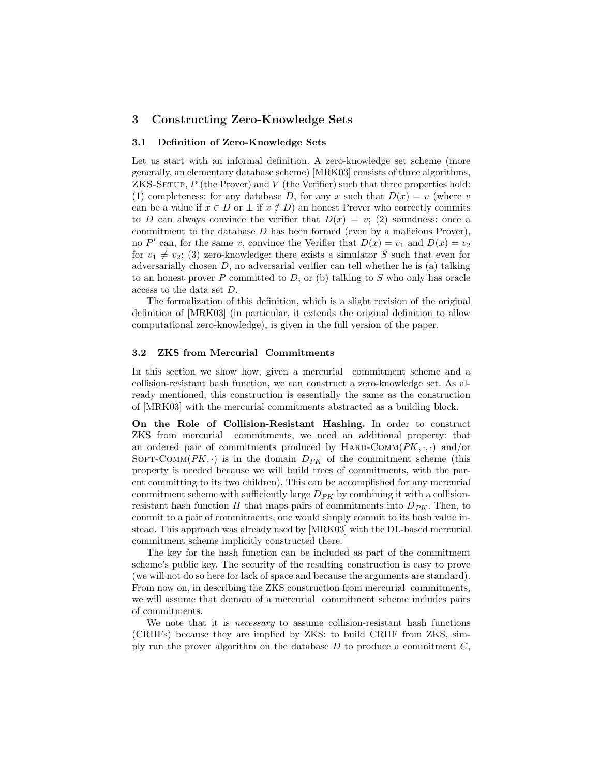# 3 Constructing Zero-Knowledge Sets

#### 3.1 Definition of Zero-Knowledge Sets

Let us start with an informal definition. A zero-knowledge set scheme (more generally, an elementary database scheme) [MRK03] consists of three algorithms, ZKS-SETUP,  $P$  (the Prover) and  $V$  (the Verifier) such that three properties hold: (1) completeness: for any database D, for any x such that  $D(x) = v$  (where v can be a value if  $x \in D$  or  $\perp$  if  $x \notin D$ ) an honest Prover who correctly commits to D can always convince the verifier that  $D(x) = v$ ; (2) soundness: once a commitment to the database  $D$  has been formed (even by a malicious Prover), no P' can, for the same x, convince the Verifier that  $D(x) = v_1$  and  $D(x) = v_2$ for  $v_1 \neq v_2$ ; (3) zero-knowledge: there exists a simulator S such that even for adversarially chosen  $D$ , no adversarial verifier can tell whether he is (a) talking to an honest prover P committed to  $D$ , or (b) talking to S who only has oracle access to the data set D.

The formalization of this definition, which is a slight revision of the original definition of [MRK03] (in particular, it extends the original definition to allow computational zero-knowledge), is given in the full version of the paper.

#### 3.2 ZKS from Mercurial Commitments

In this section we show how, given a mercurial commitment scheme and a collision-resistant hash function, we can construct a zero-knowledge set. As already mentioned, this construction is essentially the same as the construction of [MRK03] with the mercurial commitments abstracted as a building block.

On the Role of Collision-Resistant Hashing. In order to construct ZKS from mercurial commitments, we need an additional property: that an ordered pair of commitments produced by HARD-COMM( $PK, \cdot, \cdot$ ) and/or SOFT-COMM( $PK, \cdot$ ) is in the domain  $D_{PK}$  of the commitment scheme (this property is needed because we will build trees of commitments, with the parent committing to its two children). This can be accomplished for any mercurial commitment scheme with sufficiently large  $D_{PK}$  by combining it with a collisionresistant hash function  $H$  that maps pairs of commitments into  $D_{PK}$ . Then, to commit to a pair of commitments, one would simply commit to its hash value instead. This approach was already used by [MRK03] with the DL-based mercurial commitment scheme implicitly constructed there.

The key for the hash function can be included as part of the commitment scheme's public key. The security of the resulting construction is easy to prove (we will not do so here for lack of space and because the arguments are standard). From now on, in describing the ZKS construction from mercurial commitments, we will assume that domain of a mercurial commitment scheme includes pairs of commitments.

We note that it is *necessary* to assume collision-resistant hash functions (CRHFs) because they are implied by ZKS: to build CRHF from ZKS, simply run the prover algorithm on the database  $D$  to produce a commitment  $C$ ,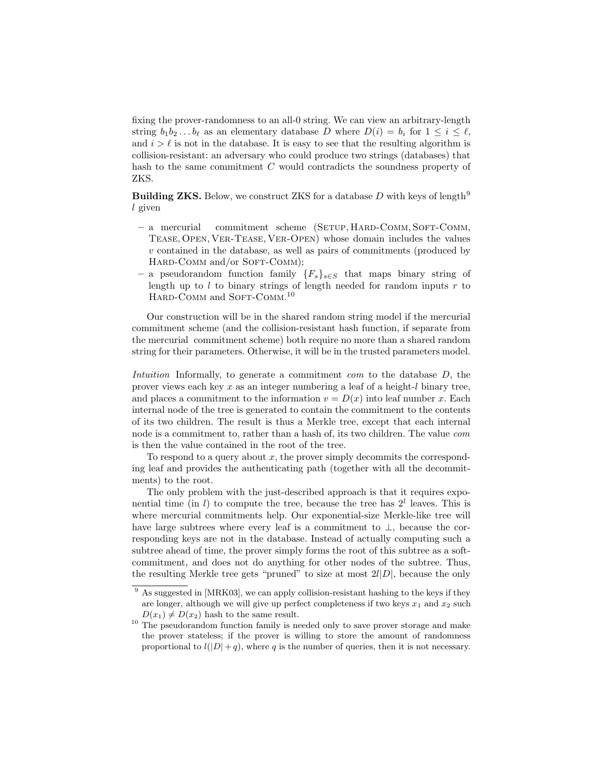fixing the prover-randomness to an all-0 string. We can view an arbitrary-length string  $b_1b_2 \ldots b_\ell$  as an elementary database D where  $D(i) = b_i$  for  $1 \leq i \leq \ell$ , and  $i > \ell$  is not in the database. It is easy to see that the resulting algorithm is collision-resistant: an adversary who could produce two strings (databases) that hash to the same commitment C would contradicts the soundness property of ZKS.

**Building ZKS.** Below, we construct ZKS for a database  $D$  with keys of length<sup>9</sup> l given

- $-$  a mercurial commitment scheme (SETUP, HARD-COMM, SOFT-COMM, Tease, Open, Ver-Tease, Ver-Open) whose domain includes the values v contained in the database, as well as pairs of commitments (produced by HARD-COMM and/or SOFT-COMM);
- a pseudorandom function family  ${F_s}_{s \in S}$  that maps binary string of length up to  $l$  to binary strings of length needed for random inputs  $r$  to HARD-COMM and SOFT-COMM.<sup>10</sup>

Our construction will be in the shared random string model if the mercurial commitment scheme (and the collision-resistant hash function, if separate from the mercurial commitment scheme) both require no more than a shared random string for their parameters. Otherwise, it will be in the trusted parameters model.

Intuition Informally, to generate a commitment com to the database D, the prover views each key  $x$  as an integer numbering a leaf of a height- $l$  binary tree, and places a commitment to the information  $v = D(x)$  into leaf number x. Each internal node of the tree is generated to contain the commitment to the contents of its two children. The result is thus a Merkle tree, except that each internal node is a commitment to, rather than a hash of, its two children. The value com is then the value contained in the root of the tree.

To respond to a query about  $x$ , the prover simply decommits the corresponding leaf and provides the authenticating path (together with all the decommitments) to the root.

The only problem with the just-described approach is that it requires exponential time (in l) to compute the tree, because the tree has  $2<sup>l</sup>$  leaves. This is where mercurial commitments help. Our exponential-size Merkle-like tree will have large subtrees where every leaf is a commitment to  $\perp$ , because the corresponding keys are not in the database. Instead of actually computing such a subtree ahead of time, the prover simply forms the root of this subtree as a softcommitment, and does not do anything for other nodes of the subtree. Thus, the resulting Merkle tree gets "pruned" to size at most  $2l|D|$ , because the only

 $\frac{9}{9}$  As suggested in [MRK03], we can apply collision-resistant hashing to the keys if they are longer, although we will give up perfect completeness if two keys  $x_1$  and  $x_2$  such  $D(x_1) \neq D(x_2)$  hash to the same result.

<sup>&</sup>lt;sup>10</sup> The pseudorandom function family is needed only to save prover storage and make the prover stateless; if the prover is willing to store the amount of randomness proportional to  $l(|D|+q)$ , where q is the number of queries, then it is not necessary.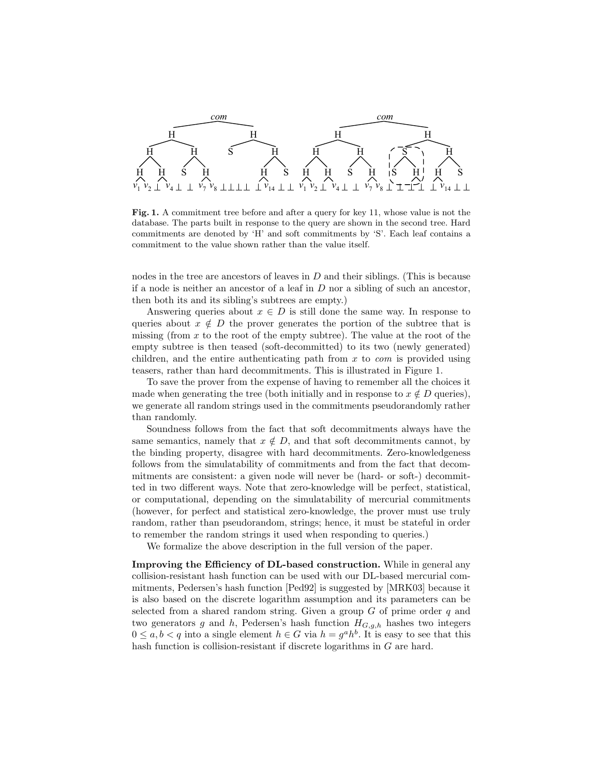

Fig. 1. A commitment tree before and after a query for key 11, whose value is not the database. The parts built in response to the query are shown in the second tree. Hard commitments are denoted by 'H' and soft commitments by 'S'. Each leaf contains a commitment to the value shown rather than the value itself.

nodes in the tree are ancestors of leaves in  $D$  and their siblings. (This is because if a node is neither an ancestor of a leaf in  $D$  nor a sibling of such an ancestor, then both its and its sibling's subtrees are empty.)

Answering queries about  $x \in D$  is still done the same way. In response to queries about  $x \notin D$  the prover generates the portion of the subtree that is missing (from  $x$  to the root of the empty subtree). The value at the root of the empty subtree is then teased (soft-decommitted) to its two (newly generated) children, and the entire authenticating path from  $x$  to *com* is provided using teasers, rather than hard decommitments. This is illustrated in Figure 1.

To save the prover from the expense of having to remember all the choices it made when generating the tree (both initially and in response to  $x \notin D$  queries), we generate all random strings used in the commitments pseudorandomly rather than randomly.

Soundness follows from the fact that soft decommitments always have the same semantics, namely that  $x \notin D$ , and that soft decommitments cannot, by the binding property, disagree with hard decommitments. Zero-knowledgeness follows from the simulatability of commitments and from the fact that decommitments are consistent: a given node will never be (hard- or soft-) decommitted in two different ways. Note that zero-knowledge will be perfect, statistical, or computational, depending on the simulatability of mercurial commitments (however, for perfect and statistical zero-knowledge, the prover must use truly random, rather than pseudorandom, strings; hence, it must be stateful in order to remember the random strings it used when responding to queries.)

We formalize the above description in the full version of the paper.

Improving the Efficiency of DL-based construction. While in general any collision-resistant hash function can be used with our DL-based mercurial commitments, Pedersen's hash function [Ped92] is suggested by [MRK03] because it is also based on the discrete logarithm assumption and its parameters can be selected from a shared random string. Given a group  $G$  of prime order  $q$  and two generators g and h, Pedersen's hash function  $H_{G,g,h}$  hashes two integers  $0 \leq a, b < q$  into a single element  $h \in G$  via  $h = g^a h^b$ . It is easy to see that this hash function is collision-resistant if discrete logarithms in G are hard.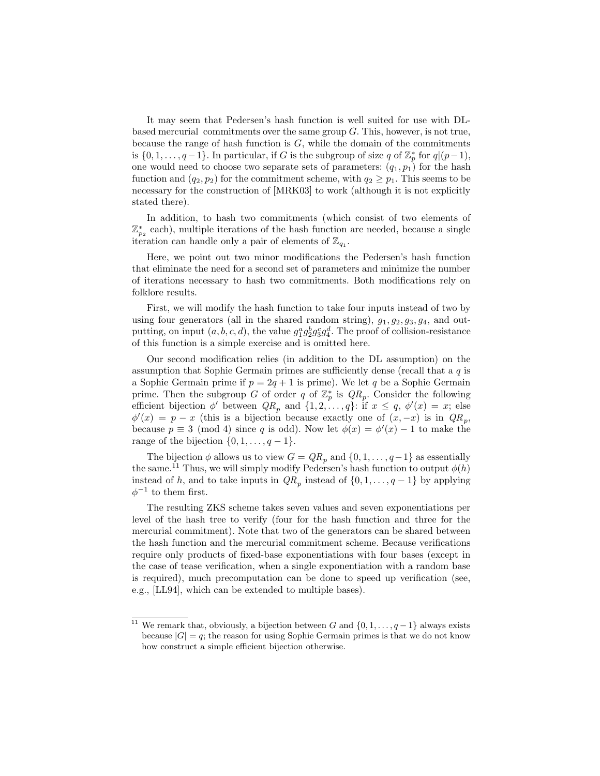It may seem that Pedersen's hash function is well suited for use with DLbased mercurial commitments over the same group  $G$ . This, however, is not true, because the range of hash function is  $G$ , while the domain of the commitments is  $\{0, 1, \ldots, q-1\}$ . In particular, if G is the subgroup of size q of  $\mathbb{Z}_p^*$  for  $q|(p-1)$ , one would need to choose two separate sets of parameters:  $(q_1, p_1)$  for the hash function and  $(q_2, p_2)$  for the commitment scheme, with  $q_2 \geq p_1$ . This seems to be necessary for the construction of [MRK03] to work (although it is not explicitly stated there).

In addition, to hash two commitments (which consist of two elements of  $\mathbb{Z}_{p_2}^*$  each), multiple iterations of the hash function are needed, because a single iteration can handle only a pair of elements of  $\mathbb{Z}_{q_1}$ .

Here, we point out two minor modifications the Pedersen's hash function that eliminate the need for a second set of parameters and minimize the number of iterations necessary to hash two commitments. Both modifications rely on folklore results.

First, we will modify the hash function to take four inputs instead of two by using four generators (all in the shared random string),  $g_1, g_2, g_3, g_4$ , and outputting, on input  $(a, b, c, d)$ , the value  $g_1^a g_2^b g_3^c g_4^d$ . The proof of collision-resistance of this function is a simple exercise and is omitted here.

Our second modification relies (in addition to the DL assumption) on the assumption that Sophie Germain primes are sufficiently dense (recall that a  $q$  is a Sophie Germain prime if  $p = 2q + 1$  is prime). We let q be a Sophie Germain prime. Then the subgroup G of order q of  $\mathbb{Z}_p^*$  is  $QR_p$ . Consider the following efficient bijection  $\phi'$  between  $QR_p$  and  $\{1, 2, ..., q\}$ : if  $x \leq q$ ,  $\phi'(x) = x$ ; else  $\phi'(x) = p - x$  (this is a bijection because exactly one of  $(x, -x)$  is in  $QR_p$ , because  $p \equiv 3 \pmod{4}$  since q is odd). Now let  $\phi(x) = \phi'(x) - 1$  to make the range of the bijection  $\{0, 1, \ldots, q-1\}.$ 

The bijection  $\phi$  allows us to view  $G = QR_p$  and  $\{0, 1, \ldots, q-1\}$  as essentially the same.<sup>11</sup> Thus, we will simply modify Pedersen's hash function to output  $\phi(h)$ instead of h, and to take inputs in  $QR_p$  instead of  $\{0, 1, \ldots, q-1\}$  by applying  $\phi^{-1}$  to them first.

The resulting ZKS scheme takes seven values and seven exponentiations per level of the hash tree to verify (four for the hash function and three for the mercurial commitment). Note that two of the generators can be shared between the hash function and the mercurial commitment scheme. Because verifications require only products of fixed-base exponentiations with four bases (except in the case of tease verification, when a single exponentiation with a random base is required), much precomputation can be done to speed up verification (see, e.g., [LL94], which can be extended to multiple bases).

<sup>&</sup>lt;sup>11</sup> We remark that, obviously, a bijection between G and  $\{0, 1, \ldots, q-1\}$  always exists because  $|G| = q$ ; the reason for using Sophie Germain primes is that we do not know how construct a simple efficient bijection otherwise.